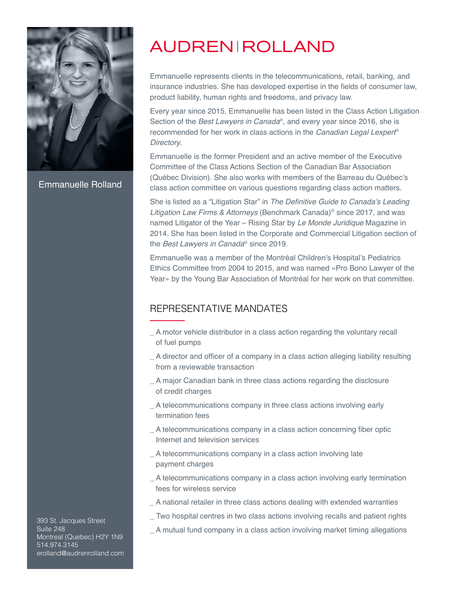

Emmanuelle Rolland

# **AUDREN ROLLAND**

Emmanuelle represents clients in the telecommunications, retail, banking, and insurance industries. She has developed expertise in the fields of consumer law, product liability, human rights and freedoms, and privacy law.

Every year since 2015, Emmanuelle has been listed in the Class Action Litigation Section of the *Best Lawyers in Canada*®, and every year since 2016, she is recommended for her work in class actions in the Canadian Legal Lexpert® Directory.

Emmanuelle is the former President and an active member of the Executive Committee of the Class Actions Section of the Canadian Bar Association (Québec Division). She also works with members of the Barreau du Québec's class action committee on various questions regarding class action matters.

She is listed as a "Litigation Star" in The Definitive Guide to Canada's Leading Litigation Law Firms & Attorneys (Benchmark Canada)<sup>®</sup> since 2017, and was named Litigator of the Year - Rising Star by Le Monde Juridique Magazine in 2014. She has been listed in the Corporate and Commercial Litigation section of the *Best Lawyers in Canada*® since 2019.

Emmanuelle was a member of the Montréal Children's Hospital's Pediatrics Ethics Committee from 2004 to 2015, and was named «Pro Bono Lawyer of the Year» by the Young Bar Association of Montréal for her work on that committee.

### REPRESENTATIVE MANDATES

- \_ A motor vehicle distributor in a class action regarding the voluntary recall of fuel pumps
- \_ A director and officer of a company in a class action alleging liability resulting from a reviewable transaction
- \_ A major Canadian bank in three class actions regarding the disclosure of credit charges
- A telecommunications company in three class actions involving early termination fees
- \_ A telecommunications company in a class action concerning fiber optic Internet and television services
- \_ A telecommunications company in a class action involving late payment charges
- \_ A telecommunications company in a class action involving early termination fees for wireless service
- \_ A national retailer in three class actions dealing with extended warranties
- \_ Two hospital centres in two class actions involving recalls and patient rights
- $\_$  A mutual fund company in a class action involving market timing allegations

393 St. Jacques Street Suite 248 Montreal (Quebec) H2Y 1N9 514.974.3145 erolland@audrenrolland.com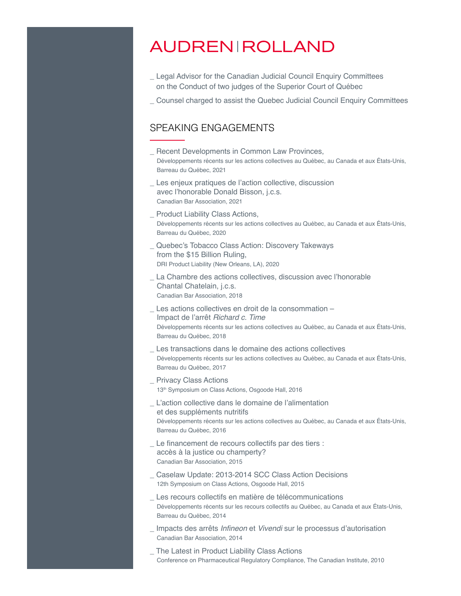## **AUDREN ROLLAND**

- \_ Legal Advisor for the Canadian Judicial Council Enquiry Committees on the Conduct of two judges of the Superior Court of Québec
- \_ Counsel charged to assist the Quebec Judicial Council Enquiry Committees

#### SPEAKING ENGAGEMENTS

- \_ Recent Developments in Common Law Provinces, Développements récents sur les actions collectives au Québec, au Canada et aux États-Unis, Barreau du Québec, 2021 \_ Les enjeux pratiques de l'action collective, discussion avec l'honorable Donald Bisson, j.c.s. Canadian Bar Association, 2021 \_ Product Liability Class Actions, Développements récents sur les actions collectives au Québec, au Canada et aux États-Unis, Barreau du Québec, 2020 \_ Quebec's Tobacco Class Action: Discovery Takeways from the \$15 Billion Ruling, DRI Product Liability (New Orleans, LA), 2020 \_ La Chambre des actions collectives, discussion avec l'honorable
- Chantal Chatelain, j.c.s. Canadian Bar Association, 2018
- Les actions collectives en droit de la consommation -Impact de l'arrêt Richard c. Time Développements récents sur les actions collectives au Québec, au Canada et aux États-Unis, Barreau du Québec, 2018
- Les transactions dans le domaine des actions collectives Développements récents sur les actions collectives au Québec, au Canada et aux États-Unis, Barreau du Québec, 2017
- \_ Privacy Class Actions 13<sup>th</sup> Symposium on Class Actions, Osgoode Hall, 2016
- L'action collective dans le domaine de l'alimentation et des suppléments nutritifs Développements récents sur les actions collectives au Québec, au Canada et aux États-Unis, Barreau du Québec, 2016
- \_ Le financement de recours collectifs par des tiers : accès à la justice ou champerty? Canadian Bar Association, 2015
- \_ Caselaw Update: 2013-2014 SCC Class Action Decisions 12th Symposium on Class Actions, Osgoode Hall, 2015
- \_ Les recours collectifs en matière de télécommunications Développements récents sur les recours collectifs au Québec, au Canada et aux États-Unis, Barreau du Québec, 2014
- \_ Impacts des arrêts Infineon et Vivendi sur le processus d'autorisation Canadian Bar Association, 2014
- \_ The Latest in Product Liability Class Actions Conference on Pharmaceutical Regulatory Compliance, The Canadian Institute, 2010